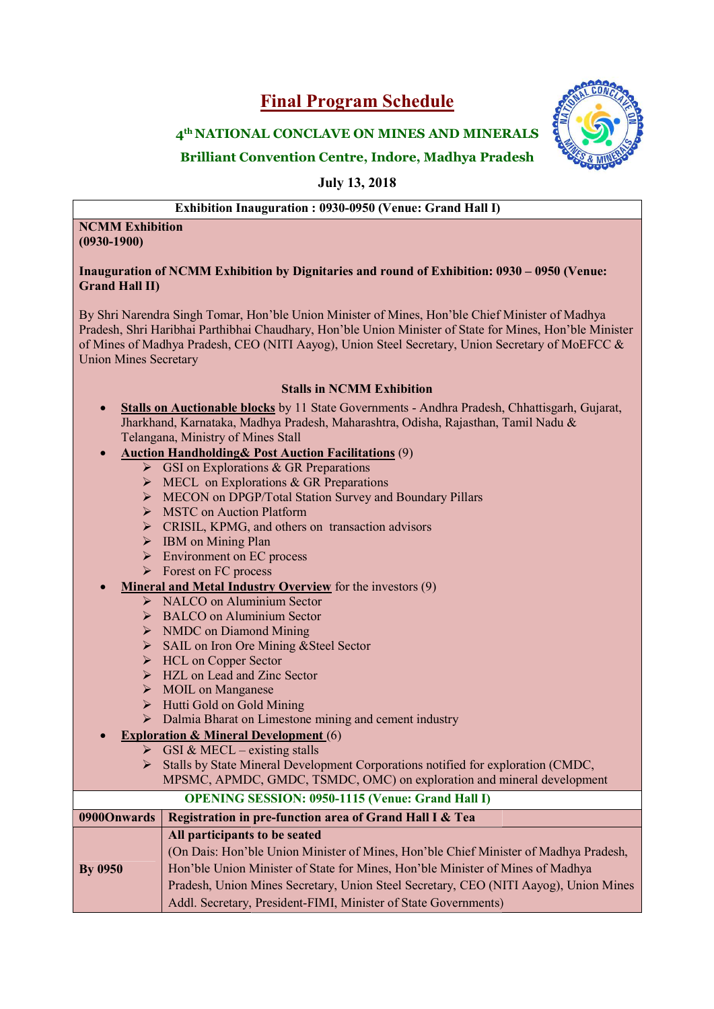# Final Program Schedule



## 4<sup>th</sup> NATIONAL CONCLAVE ON MINES AND MINERALS  $\{ \}$ I<sup>th</sup> NATIONAL CONCLAVE ON MINES AND MINERALS<br>Brilliant Convention Centre, Indore, Madhya Pradesh

July 13, 2018

Exhibition Inauguration : 0930-0950 (Venue: Grand Hall I)

### NCMM Exhibition (0930-1900)

#### Inauguration of NCMM Exhibition by Dignitaries and round of Exhibition: 0930 – 0950 (Venue: Grand Hall II)

By Shri Narendra Singh Tomar, Hon'ble Union Minister of Mines, Hon'ble Chief Minister of Madhya  $\qquad \qquad \mid$ Pradesh, Shri Haribhai Parthibhai Chaudhary, Hon'ble Union Minister of State for Mines, Hon'ble Minister of Mines of Madhya Pradesh, CEO (NITI Aayog), Union Steel Secretary, Union Secretary of MoEFCC  $\&$ Union Mines Secretary

### Stalls in NCMM Exhibition

• Stalls on Auctionable blocks by 11 State Governments - Andhra Pradesh, Chhattisgarh, Gujarat, Jharkhand, Karnataka, Madhya Pradesh, Maharashtra, Odisha, Rajasthan, Tamil Nadu & Jharkhand, Karnataka, Madhya Pradesh, Maharashtra, Odisha, Rajasthan, Tamil Nadu & Telangana, Ministry of Mines Stall ,

### **Auction Handholding & Post Auction Facilitations** (9)

- $\triangleright$  GSI on Explorations & GR Preparations
- $\triangleright$  MECL on Explorations & GR Preparations
- MECON on DPGP/Total Station Survey and Boundary Pillars
- **EXECUTE:** MSTC on Auction Platform
- SUINEON on DPGP/Total Station Survey and Bounda<br>
SUINESTIC on Auction Platform<br>
SUINESTIC, KPMG, and others on transaction advisors
- > IBM on Mining Plan
- $\triangleright$  Environment on EC process
- > Forest on FC process

### • Mineral and Metal Industry Overview for the investors (9)

- > NALCO on Aluminium Sector
- $\triangleright$  BALCO on Aluminium Sector
- $\triangleright$  NMDC on Diamond Mining
- SAIL O on Aluminium Sector<br>
SAIL O on Aluminium Sector<br>
SAIL on Iron Ore Mining & Steel Sector<br>
SAIL on Iron Ore Mining & Steel Sector
- > HCL on Copper Sector
- 
- $\triangleright$  MOIL on Manganese
- → HZL on Lead and Zinc Sector<br>
→ MOIL on Manganese<br>
→ Hutti Gold on Gold Mining  $\triangleright$  Hutti Gold on Gold Mining
- $\triangleright$  Dalmia Bharat on Limestone mining and cement industry
- Exploration & Mineral Development (6)
	- $\triangleright$  GSI & MECL existing stalls
	- Stalls by State Mineral Development Corporations notified for exploration (CMDC, MPSMC, APMDC, GMDC, TSMDC, OMC) on exploration and mineral development

### OPENING SESSION: 0950 0950-1115 (Venue: Grand Hall I)

| $\mid$ 09000 nwards $\mid$ | Registration in pre-function area of Grand Hall I & Tea                              |
|----------------------------|--------------------------------------------------------------------------------------|
|                            | All participants to be seated                                                        |
|                            | (On Dais: Hon'ble Union Minister of Mines, Hon'ble Chief Minister of Madhya Pradesh, |
| <b>By 0950</b>             | Hon'ble Union Minister of State for Mines, Hon'ble Minister of Mines of Madhya       |
|                            | Pradesh, Union Mines Secretary, Union Steel Secretary, CEO (NITI Aayog), Union Mines |
|                            | Addl. Secretary, President-FIMI, Minister of State Governments)                      |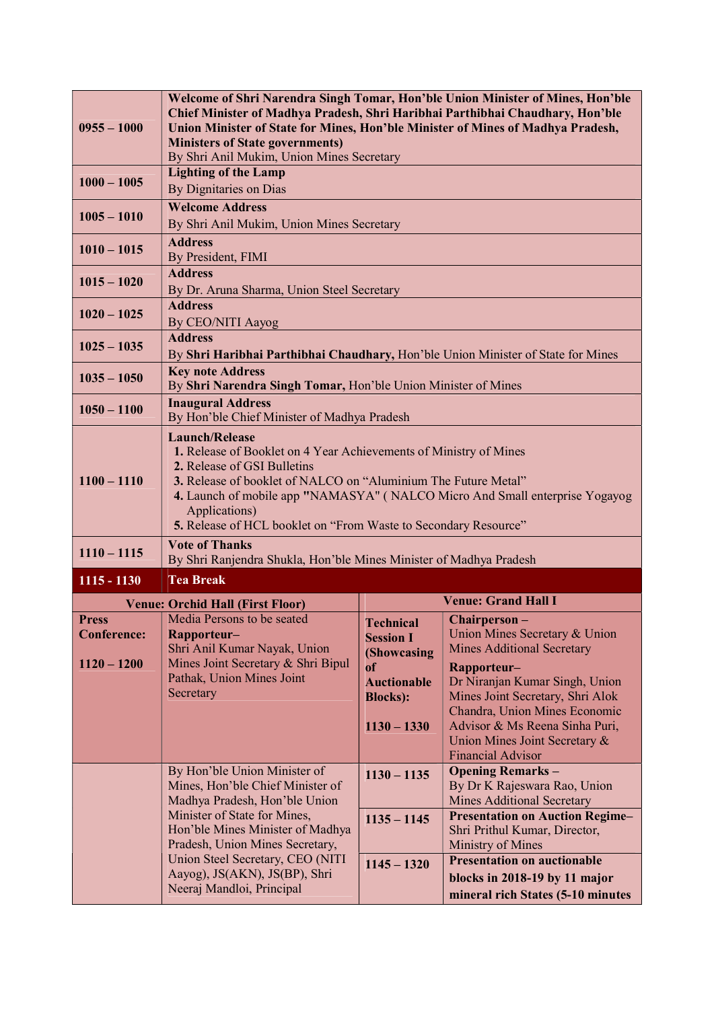| $0955 - 1000$                                                                                  | Welcome of Shri Narendra Singh Tomar, Hon'ble Union Minister of Mines, Hon'ble<br>Chief Minister of Madhya Pradesh, Shri Haribhai Parthibhai Chaudhary, Hon'ble<br>Union Minister of State for Mines, Hon'ble Minister of Mines of Madhya Pradesh,<br><b>Ministers of State governments)</b><br>By Shri Anil Mukim, Union Mines Secretary                      |                                                                                                          |                                                                                                                              |  |  |
|------------------------------------------------------------------------------------------------|----------------------------------------------------------------------------------------------------------------------------------------------------------------------------------------------------------------------------------------------------------------------------------------------------------------------------------------------------------------|----------------------------------------------------------------------------------------------------------|------------------------------------------------------------------------------------------------------------------------------|--|--|
| $1000 - 1005$                                                                                  | <b>Lighting of the Lamp</b><br>By Dignitaries on Dias                                                                                                                                                                                                                                                                                                          |                                                                                                          |                                                                                                                              |  |  |
| $1005 - 1010$                                                                                  | <b>Welcome Address</b><br>By Shri Anil Mukim, Union Mines Secretary                                                                                                                                                                                                                                                                                            |                                                                                                          |                                                                                                                              |  |  |
| $1010 - 1015$                                                                                  | <b>Address</b><br>By President, FIMI                                                                                                                                                                                                                                                                                                                           |                                                                                                          |                                                                                                                              |  |  |
| $1015 - 1020$                                                                                  | <b>Address</b><br>By Dr. Aruna Sharma, Union Steel Secretary                                                                                                                                                                                                                                                                                                   |                                                                                                          |                                                                                                                              |  |  |
| $1020 - 1025$                                                                                  | <b>Address</b><br>By CEO/NITI Aayog                                                                                                                                                                                                                                                                                                                            |                                                                                                          |                                                                                                                              |  |  |
| $1025 - 1035$                                                                                  | <b>Address</b><br>By Shri Haribhai Parthibhai Chaudhary, Hon'ble Union Minister of State for Mines                                                                                                                                                                                                                                                             |                                                                                                          |                                                                                                                              |  |  |
| $1035 - 1050$                                                                                  | <b>Key note Address</b><br>By Shri Narendra Singh Tomar, Hon'ble Union Minister of Mines                                                                                                                                                                                                                                                                       |                                                                                                          |                                                                                                                              |  |  |
| $1050 - 1100$                                                                                  | <b>Inaugural Address</b><br>By Hon'ble Chief Minister of Madhya Pradesh                                                                                                                                                                                                                                                                                        |                                                                                                          |                                                                                                                              |  |  |
| $1100 - 1110$                                                                                  | <b>Launch/Release</b><br>1. Release of Booklet on 4 Year Achievements of Ministry of Mines<br>2. Release of GSI Bulletins<br>3. Release of booklet of NALCO on "Aluminium The Future Metal"<br>4. Launch of mobile app "NAMASYA" (NALCO Micro And Small enterprise Yogayog<br>Applications)<br>5. Release of HCL booklet on "From Waste to Secondary Resource" |                                                                                                          |                                                                                                                              |  |  |
| $1110 - 1115$                                                                                  | <b>Vote of Thanks</b><br>By Shri Ranjendra Shukla, Hon'ble Mines Minister of Madhya Pradesh                                                                                                                                                                                                                                                                    |                                                                                                          |                                                                                                                              |  |  |
| $1115 - 1130$                                                                                  | <b>Tea Break</b>                                                                                                                                                                                                                                                                                                                                               |                                                                                                          |                                                                                                                              |  |  |
|                                                                                                | <b>Venue: Orchid Hall (First Floor)</b>                                                                                                                                                                                                                                                                                                                        |                                                                                                          | <b>Venue: Grand Hall I</b>                                                                                                   |  |  |
| <b>Press</b><br><b>Conference:</b>                                                             | Media Persons to be seated<br>Rapporteur-                                                                                                                                                                                                                                                                                                                      | <b>Technical</b><br><b>Session I</b>                                                                     | Chairperson-<br>Union Mines Secretary & Union                                                                                |  |  |
|                                                                                                | Shri Anil Kumar Nayak, Union                                                                                                                                                                                                                                                                                                                                   | (Showcasing                                                                                              | <b>Mines Additional Secretary</b>                                                                                            |  |  |
| $1120 - 1200$                                                                                  | Mines Joint Secretary & Shri Bipul<br>Pathak, Union Mines Joint                                                                                                                                                                                                                                                                                                | of<br><b>Auctionable</b>                                                                                 | Rapporteur-<br>Dr Niranjan Kumar Singh, Union                                                                                |  |  |
|                                                                                                | Secretary                                                                                                                                                                                                                                                                                                                                                      | <b>Blocks</b> ):                                                                                         | Mines Joint Secretary, Shri Alok                                                                                             |  |  |
|                                                                                                |                                                                                                                                                                                                                                                                                                                                                                | $1130 - 1330$                                                                                            | Chandra, Union Mines Economic<br>Advisor & Ms Reena Sinha Puri,<br>Union Mines Joint Secretary &<br><b>Financial Advisor</b> |  |  |
|                                                                                                | By Hon'ble Union Minister of<br>Mines, Hon'ble Chief Minister of<br>Madhya Pradesh, Hon'ble Union                                                                                                                                                                                                                                                              | $1130 - 1135$                                                                                            | <b>Opening Remarks -</b><br>By Dr K Rajeswara Rao, Union<br>Mines Additional Secretary                                       |  |  |
|                                                                                                | Minister of State for Mines,<br>Hon'ble Mines Minister of Madhya<br>Pradesh, Union Mines Secretary,                                                                                                                                                                                                                                                            | $1135 - 1145$                                                                                            | <b>Presentation on Auction Regime-</b><br>Shri Prithul Kumar, Director,<br>Ministry of Mines                                 |  |  |
| Union Steel Secretary, CEO (NITI<br>Aayog), JS(AKN), JS(BP), Shri<br>Neeraj Mandloi, Principal | $1145 - 1320$                                                                                                                                                                                                                                                                                                                                                  | <b>Presentation on auctionable</b><br>blocks in 2018-19 by 11 major<br>mineral rich States (5-10 minutes |                                                                                                                              |  |  |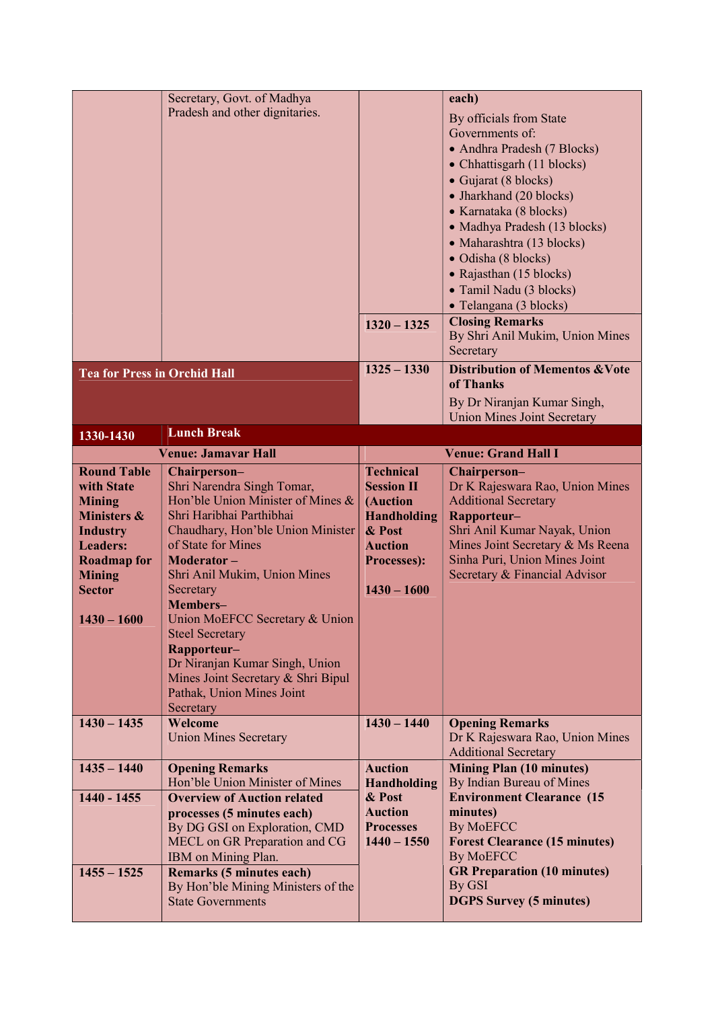| Secretary, Govt. of Madhya<br>each)                                                          |                                                                |  |
|----------------------------------------------------------------------------------------------|----------------------------------------------------------------|--|
| Pradesh and other dignitaries.                                                               | By officials from State                                        |  |
|                                                                                              | Governments of:                                                |  |
|                                                                                              | • Andhra Pradesh (7 Blocks)                                    |  |
|                                                                                              | • Chhattisgarh (11 blocks)                                     |  |
|                                                                                              | • Gujarat (8 blocks)                                           |  |
|                                                                                              | • Jharkhand (20 blocks)                                        |  |
|                                                                                              | • Karnataka (8 blocks)                                         |  |
|                                                                                              | • Madhya Pradesh (13 blocks)                                   |  |
|                                                                                              | · Maharashtra (13 blocks)                                      |  |
|                                                                                              | · Odisha (8 blocks)                                            |  |
|                                                                                              | • Rajasthan (15 blocks)                                        |  |
|                                                                                              | • Tamil Nadu (3 blocks)                                        |  |
|                                                                                              | • Telangana (3 blocks)                                         |  |
| $1320 - 1325$                                                                                | <b>Closing Remarks</b>                                         |  |
|                                                                                              | By Shri Anil Mukim, Union Mines                                |  |
| Secretary                                                                                    |                                                                |  |
| $1325 - 1330$<br><b>Tea for Press in Orchid Hall</b>                                         | <b>Distribution of Mementos &amp; Vote</b><br>of Thanks        |  |
|                                                                                              | By Dr Niranjan Kumar Singh,                                    |  |
|                                                                                              | <b>Union Mines Joint Secretary</b>                             |  |
| <b>Lunch Break</b><br>1330-1430                                                              |                                                                |  |
| <b>Venue: Jamavar Hall</b>                                                                   | <b>Venue: Grand Hall I</b>                                     |  |
| <b>Round Table</b><br><b>Technical</b><br>Chairperson-                                       | Chairperson-                                                   |  |
| Shri Narendra Singh Tomar,<br>with State<br><b>Session II</b>                                | Dr K Rajeswara Rao, Union Mines                                |  |
| Hon'ble Union Minister of Mines &<br>(Auction<br><b>Mining</b>                               | <b>Additional Secretary</b>                                    |  |
| Shri Haribhai Parthibhai<br><b>Ministers &amp;</b><br><b>Handholding</b>                     | Rapporteur-                                                    |  |
| Chaudhary, Hon'ble Union Minister<br>& Post<br><b>Industry</b>                               | Shri Anil Kumar Nayak, Union                                   |  |
| of State for Mines<br><b>Leaders:</b><br><b>Auction</b>                                      | Mines Joint Secretary & Ms Reena                               |  |
| <b>Roadmap for</b><br>Moderator-<br><b>Processes):</b>                                       | Sinha Puri, Union Mines Joint                                  |  |
| <b>Mining</b><br>Shri Anil Mukim, Union Mines<br>$1430 - 1600$<br><b>Sector</b><br>Secretary | Secretary & Financial Advisor                                  |  |
| Members-                                                                                     |                                                                |  |
| Union MoEFCC Secretary & Union<br>$1430 - 1600$                                              |                                                                |  |
| <b>Steel Secretary</b>                                                                       |                                                                |  |
| Rapporteur-                                                                                  |                                                                |  |
| Dr Niranjan Kumar Singh, Union                                                               |                                                                |  |
| Mines Joint Secretary & Shri Bipul                                                           |                                                                |  |
| Pathak, Union Mines Joint                                                                    |                                                                |  |
| Secretary                                                                                    |                                                                |  |
| $1430 - 1435$<br>Welcome<br>$1430 - 1440$                                                    | <b>Opening Remarks</b>                                         |  |
| <b>Union Mines Secretary</b>                                                                 | Dr K Rajeswara Rao, Union Mines<br><b>Additional Secretary</b> |  |
| $1435 - 1440$<br><b>Opening Remarks</b><br><b>Auction</b>                                    | <b>Mining Plan (10 minutes)</b>                                |  |
| Hon'ble Union Minister of Mines<br><b>Handholding</b>                                        | By Indian Bureau of Mines                                      |  |
| $1440 - 1455$<br><b>Overview of Auction related</b><br>& Post                                | <b>Environment Clearance (15</b>                               |  |
| <b>Auction</b><br>processes (5 minutes each)                                                 | minutes)                                                       |  |
|                                                                                              | <b>By MoEFCC</b>                                               |  |
| By DG GSI on Exploration, CMD<br><b>Processes</b>                                            |                                                                |  |
| $1440 - 1550$<br>MECL on GR Preparation and CG                                               | <b>Forest Clearance (15 minutes)</b>                           |  |
| IBM on Mining Plan.                                                                          | <b>By MoEFCC</b>                                               |  |
| $1455 - 1525$<br><b>Remarks (5 minutes each)</b>                                             | <b>GR Preparation (10 minutes)</b>                             |  |
| By GSI<br>By Hon'ble Mining Ministers of the<br><b>State Governments</b>                     | <b>DGPS Survey (5 minutes)</b>                                 |  |